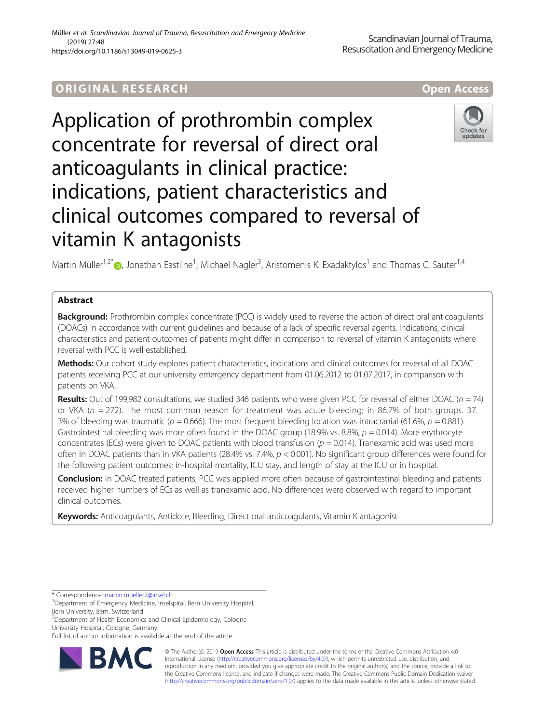# ORIGINA L R E S EA RCH Open Access

# Application of prothrombin complex concentrate for reversal of direct oral anticoagulants in clinical practice: indications, patient characteristics and clinical outcomes compared to reversal of vitamin K antagonists

Martin Müller<sup>1,2[\\*](http://orcid.org/0000-0003-4067-7174)</sup>®, Jonathan Eastline<sup>1</sup>, Michael Nagler<sup>3</sup>, Aristomenis K. Exadaktylos<sup>1</sup> and Thomas C. Sauter<sup>1,4</sup>

# Abstract

Background: Prothrombin complex concentrate (PCC) is widely used to reverse the action of direct oral anticoagulants (DOACs) in accordance with current guidelines and because of a lack of specific reversal agents. Indications, clinical characteristics and patient outcomes of patients might differ in comparison to reversal of vitamin K antagonists where reversal with PCC is well established.

Methods: Our cohort study explores patient characteristics, indications and clinical outcomes for reversal of all DOAC patients receiving PCC at our university emergency department from 01.06.2012 to 01.07.2017, in comparison with patients on VKA.

Results: Out of 199,982 consultations, we studied 346 patients who were given PCC for reversal of either DOAC ( $n = 74$ ) or VKA ( $n = 272$ ). The most common reason for treatment was acute bleeding; in 86.7% of both groups. 37. 3% of bleeding was traumatic (p = 0.666). The most frequent bleeding location was intracranial (61.6%, p = 0.881). Gastrointestinal bleeding was more often found in the DOAC group (18.9% vs. 8.8%,  $p = 0.014$ ). More erythrocyte concentrates (ECs) were given to DOAC patients with blood transfusion ( $p = 0.014$ ). Tranexamic acid was used more often in DOAC patients than in VKA patients (28.4% vs. 7.4%,  $p < 0.001$ ). No significant group differences were found for the following patient outcomes: in-hospital mortality, ICU stay, and length of stay at the ICU or in hospital.

Conclusion: In DOAC treated patients, PCC was applied more often because of gastrointestinal bleeding and patients received higher numbers of ECs as well as tranexamic acid. No differences were observed with regard to important clinical outcomes.

Keywords: Anticoagulants, Antidote, Bleeding, Direct oral anticoagulants, Vitamin K antagonist

\* Correspondence: [martin.mueller2@insel.ch](mailto:martin.mueller2@insel.ch) <sup>1</sup>

<sup>1</sup>Department of Emergency Medicine, Inselspital, Bern University Hospital, Bern University, Bern, Switzerland

<sup>2</sup>Department of Health Economics and Clinical Epidemiology, Cologne University Hospital, Cologne, Germany

Full list of author information is available at the end of the article



© The Author(s). 2019 **Open Access** This article is distributed under the terms of the Creative Commons Attribution 4.0 International License [\(http://creativecommons.org/licenses/by/4.0/](http://creativecommons.org/licenses/by/4.0/)), which permits unrestricted use, distribution, and reproduction in any medium, provided you give appropriate credit to the original author(s) and the source, provide a link to the Creative Commons license, and indicate if changes were made. The Creative Commons Public Domain Dedication waiver [\(http://creativecommons.org/publicdomain/zero/1.0/](http://creativecommons.org/publicdomain/zero/1.0/)) applies to the data made available in this article, unless otherwise stated.



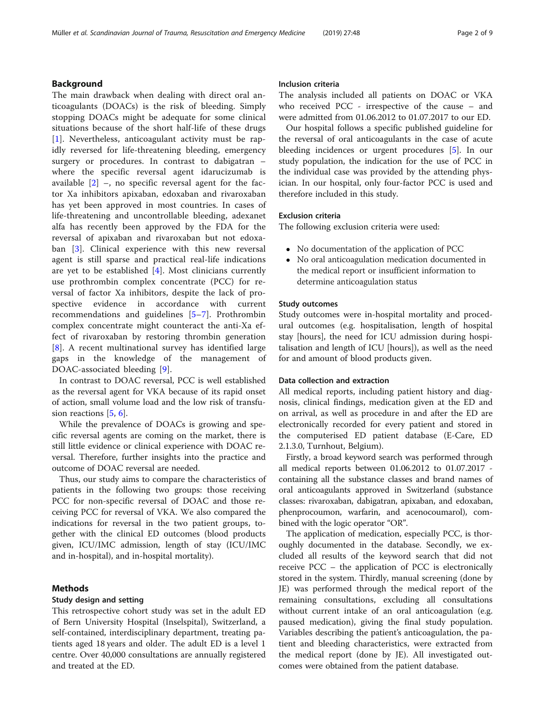# Background

The main drawback when dealing with direct oral anticoagulants (DOACs) is the risk of bleeding. Simply stopping DOACs might be adequate for some clinical situations because of the short half-life of these drugs [[1\]](#page-7-0). Nevertheless, anticoagulant activity must be rapidly reversed for life-threatening bleeding, emergency surgery or procedures. In contrast to dabigatran – where the specific reversal agent idarucizumab is available  $[2]$  $[2]$  –, no specific reversal agent for the factor Xa inhibitors apixaban, edoxaban and rivaroxaban has yet been approved in most countries. In cases of life-threatening and uncontrollable bleeding, adexanet alfa has recently been approved by the FDA for the reversal of apixaban and rivaroxaban but not edoxaban [[3\]](#page-8-0). Clinical experience with this new reversal agent is still sparse and practical real-life indications are yet to be established [\[4](#page-8-0)]. Most clinicians currently use prothrombin complex concentrate (PCC) for reversal of factor Xa inhibitors, despite the lack of prospective evidence in accordance with current recommendations and guidelines [\[5](#page-8-0)–[7](#page-8-0)]. Prothrombin complex concentrate might counteract the anti-Xa effect of rivaroxaban by restoring thrombin generation [[8\]](#page-8-0). A recent multinational survey has identified large gaps in the knowledge of the management of DOAC-associated bleeding [\[9](#page-8-0)].

In contrast to DOAC reversal, PCC is well established as the reversal agent for VKA because of its rapid onset of action, small volume load and the low risk of transfu-sion reactions [[5](#page-8-0), [6](#page-8-0)].

While the prevalence of DOACs is growing and specific reversal agents are coming on the market, there is still little evidence or clinical experience with DOAC reversal. Therefore, further insights into the practice and outcome of DOAC reversal are needed.

Thus, our study aims to compare the characteristics of patients in the following two groups: those receiving PCC for non-specific reversal of DOAC and those receiving PCC for reversal of VKA. We also compared the indications for reversal in the two patient groups, together with the clinical ED outcomes (blood products given, ICU/IMC admission, length of stay (ICU/IMC and in-hospital), and in-hospital mortality).

# Methods

#### Study design and setting

This retrospective cohort study was set in the adult ED of Bern University Hospital (Inselspital), Switzerland, a self-contained, interdisciplinary department, treating patients aged 18 years and older. The adult ED is a level 1 centre. Over 40,000 consultations are annually registered and treated at the ED.

### Inclusion criteria

The analysis included all patients on DOAC or VKA who received PCC - irrespective of the cause – and were admitted from 01.06.2012 to 01.07.2017 to our ED.

Our hospital follows a specific published guideline for the reversal of oral anticoagulants in the case of acute bleeding incidences or urgent procedures [\[5](#page-8-0)]. In our study population, the indication for the use of PCC in the individual case was provided by the attending physician. In our hospital, only four-factor PCC is used and therefore included in this study.

#### Exclusion criteria

The following exclusion criteria were used:

- No documentation of the application of PCC
- No oral anticoagulation medication documented in the medical report or insufficient information to determine anticoagulation status

# Study outcomes

Study outcomes were in-hospital mortality and procedural outcomes (e.g. hospitalisation, length of hospital stay [hours], the need for ICU admission during hospitalisation and length of ICU [hours]), as well as the need for and amount of blood products given.

#### Data collection and extraction

All medical reports, including patient history and diagnosis, clinical findings, medication given at the ED and on arrival, as well as procedure in and after the ED are electronically recorded for every patient and stored in the computerised ED patient database (E-Care, ED 2.1.3.0, Turnhout, Belgium).

Firstly, a broad keyword search was performed through all medical reports between 01.06.2012 to 01.07.2017 containing all the substance classes and brand names of oral anticoagulants approved in Switzerland (substance classes: rivaroxaban, dabigatran, apixaban, and edoxaban, phenprocoumon, warfarin, and acenocoumarol), combined with the logic operator "OR".

The application of medication, especially PCC, is thoroughly documented in the database. Secondly, we excluded all results of the keyword search that did not receive PCC – the application of PCC is electronically stored in the system. Thirdly, manual screening (done by JE) was performed through the medical report of the remaining consultations, excluding all consultations without current intake of an oral anticoagulation (e.g. paused medication), giving the final study population. Variables describing the patient's anticoagulation, the patient and bleeding characteristics, were extracted from the medical report (done by JE). All investigated outcomes were obtained from the patient database.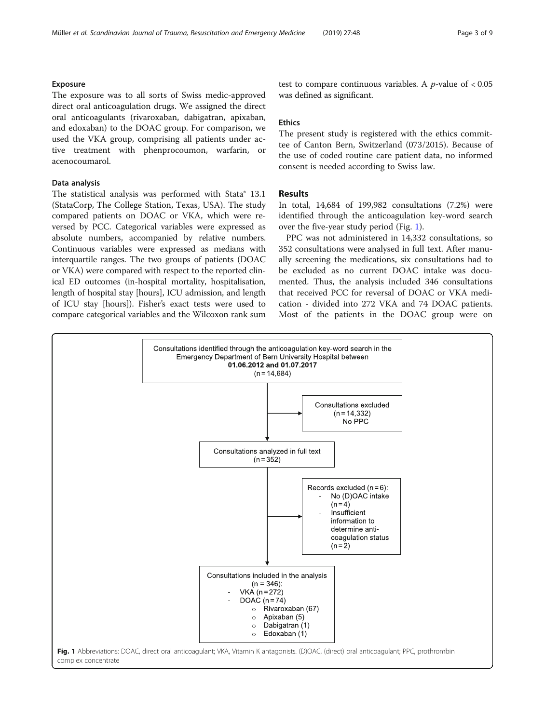## Exposure

The exposure was to all sorts of Swiss medic-approved direct oral anticoagulation drugs. We assigned the direct oral anticoagulants (rivaroxaban, dabigatran, apixaban, and edoxaban) to the DOAC group. For comparison, we used the VKA group, comprising all patients under active treatment with phenprocoumon, warfarin, or acenocoumarol.

# Data analysis

The statistical analysis was performed with Stata® 13.1 (StataCorp, The College Station, Texas, USA). The study compared patients on DOAC or VKA, which were reversed by PCC. Categorical variables were expressed as absolute numbers, accompanied by relative numbers. Continuous variables were expressed as medians with interquartile ranges. The two groups of patients (DOAC or VKA) were compared with respect to the reported clinical ED outcomes (in-hospital mortality, hospitalisation, length of hospital stay [hours], ICU admission, and length of ICU stay [hours]). Fisher's exact tests were used to compare categorical variables and the Wilcoxon rank sum test to compare continuous variables. A  $p$ -value of < 0.05 was defined as significant.

#### Ethics

The present study is registered with the ethics committee of Canton Bern, Switzerland (073/2015). Because of the use of coded routine care patient data, no informed consent is needed according to Swiss law.

# Results

In total, 14,684 of 199,982 consultations (7.2%) were identified through the anticoagulation key-word search over the five-year study period (Fig. 1).

PPC was not administered in 14,332 consultations, so 352 consultations were analysed in full text. After manually screening the medications, six consultations had to be excluded as no current DOAC intake was documented. Thus, the analysis included 346 consultations that received PCC for reversal of DOAC or VKA medication - divided into 272 VKA and 74 DOAC patients. Most of the patients in the DOAC group were on

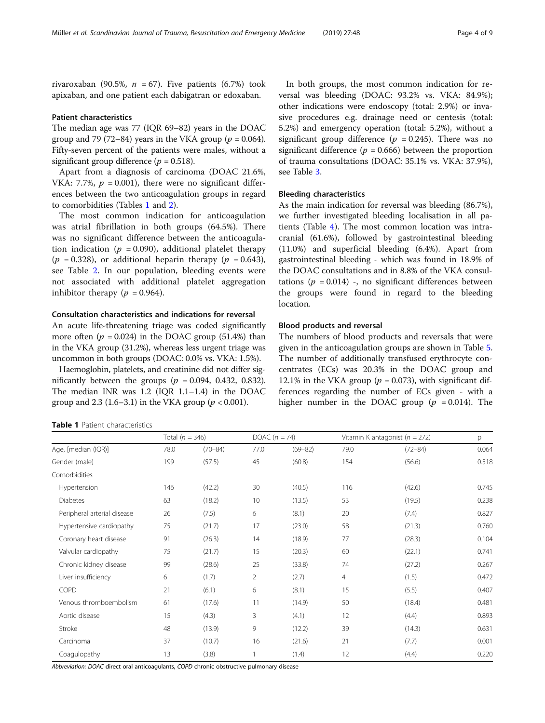rivaroxaban (90.5%,  $n = 67$ ). Five patients (6.7%) took apixaban, and one patient each dabigatran or edoxaban.

#### Patient characteristics

The median age was 77 (IQR 69–82) years in the DOAC group and 79 (72–84) years in the VKA group ( $p = 0.064$ ). Fifty-seven percent of the patients were males, without a significant group difference ( $p = 0.518$ ).

Apart from a diagnosis of carcinoma (DOAC 21.6%, VKA: 7.7%,  $p = 0.001$ ), there were no significant differences between the two anticoagulation groups in regard to comorbidities (Tables 1 and [2\)](#page-4-0).

The most common indication for anticoagulation was atrial fibrillation in both groups (64.5%). There was no significant difference between the anticoagulation indication ( $p = 0.090$ ), additional platelet therapy  $(p = 0.328)$ , or additional heparin therapy  $(p = 0.643)$ , see Table [2.](#page-4-0) In our population, bleeding events were not associated with additional platelet aggregation inhibitor therapy ( $p = 0.964$ ).

## Consultation characteristics and indications for reversal

An acute life-threatening triage was coded significantly more often  $(p = 0.024)$  in the DOAC group (51.4%) than in the VKA group (31.2%), whereas less urgent triage was uncommon in both groups (DOAC: 0.0% vs. VKA: 1.5%).

Haemoglobin, platelets, and creatinine did not differ significantly between the groups ( $p = 0.094$ , 0.432, 0.832). The median INR was 1.2 (IQR 1.1–1.4) in the DOAC group and 2.3 (1.6–3.1) in the VKA group ( $p < 0.001$ ).

| <b>Table 1</b> Patient characteristics |  |
|----------------------------------------|--|
|                                        |  |

In both groups, the most common indication for reversal was bleeding (DOAC: 93.2% vs. VKA: 84.9%); other indications were endoscopy (total: 2.9%) or invasive procedures e.g. drainage need or centesis (total: 5.2%) and emergency operation (total: 5.2%), without a significant group difference ( $p = 0.245$ ). There was no significant difference ( $p = 0.666$ ) between the proportion of trauma consultations (DOAC: 35.1% vs. VKA: 37.9%), see Table [3.](#page-4-0)

# Bleeding characteristics

As the main indication for reversal was bleeding (86.7%), we further investigated bleeding localisation in all patients (Table [4\)](#page-5-0). The most common location was intracranial (61.6%), followed by gastrointestinal bleeding (11.0%) and superficial bleeding (6.4%). Apart from gastrointestinal bleeding - which was found in 18.9% of the DOAC consultations and in 8.8% of the VKA consultations ( $p = 0.014$ ) -, no significant differences between the groups were found in regard to the bleeding location.

# Blood products and reversal

The numbers of blood products and reversals that were given in the anticoagulation groups are shown in Table [5](#page-5-0). The number of additionally transfused erythrocyte concentrates (ECs) was 20.3% in the DOAC group and 12.1% in the VKA group ( $p = 0.073$ ), with significant differences regarding the number of ECs given - with a higher number in the DOAC group ( $p = 0.014$ ). The

|                             | Total ( $n = 346$ ) |             | DOAC $(n = 74)$ |             | Vitamin K antagonist ( $n = 272$ ) |             | р     |
|-----------------------------|---------------------|-------------|-----------------|-------------|------------------------------------|-------------|-------|
| Age, [median (IQR)]         | 78.0                | $(70 - 84)$ | 77.0            | $(69 - 82)$ | 79.0                               | $(72 - 84)$ | 0.064 |
| Gender (male)               | 199                 | (57.5)      | 45              | (60.8)      | 154                                | (56.6)      | 0.518 |
| Comorbidities               |                     |             |                 |             |                                    |             |       |
| Hypertension                | 146                 | (42.2)      | 30              | (40.5)      | 116                                | (42.6)      | 0.745 |
| <b>Diabetes</b>             | 63                  | (18.2)      | 10              | (13.5)      | 53                                 | (19.5)      | 0.238 |
| Peripheral arterial disease | 26                  | (7.5)       | 6               | (8.1)       | 20                                 | (7.4)       | 0.827 |
| Hypertensive cardiopathy    | 75                  | (21.7)      | 17              | (23.0)      | 58                                 | (21.3)      | 0.760 |
| Coronary heart disease      | 91                  | (26.3)      | 14              | (18.9)      | 77                                 | (28.3)      | 0.104 |
| Valvular cardiopathy        | 75                  | (21.7)      | 15              | (20.3)      | 60                                 | (22.1)      | 0.741 |
| Chronic kidney disease      | 99                  | (28.6)      | 25              | (33.8)      | 74                                 | (27.2)      | 0.267 |
| Liver insufficiency         | 6                   | (1.7)       | $\overline{2}$  | (2.7)       | 4                                  | (1.5)       | 0.472 |
| COPD                        | 21                  | (6.1)       | 6               | (8.1)       | 15                                 | (5.5)       | 0.407 |
| Venous thromboembolism      | 61                  | (17.6)      | 11              | (14.9)      | 50                                 | (18.4)      | 0.481 |
| Aortic disease              | 15                  | (4.3)       | 3               | (4.1)       | 12                                 | (4.4)       | 0.893 |
| Stroke                      | 48                  | (13.9)      | 9               | (12.2)      | 39                                 | (14.3)      | 0.631 |
| Carcinoma                   | 37                  | (10.7)      | 16              | (21.6)      | 21                                 | (7.7)       | 0.001 |
| Coagulopathy                | 13                  | (3.8)       |                 | (1.4)       | 12                                 | (4.4)       | 0.220 |

Abbreviation: DOAC direct oral anticoagulants, COPD chronic obstructive pulmonary disease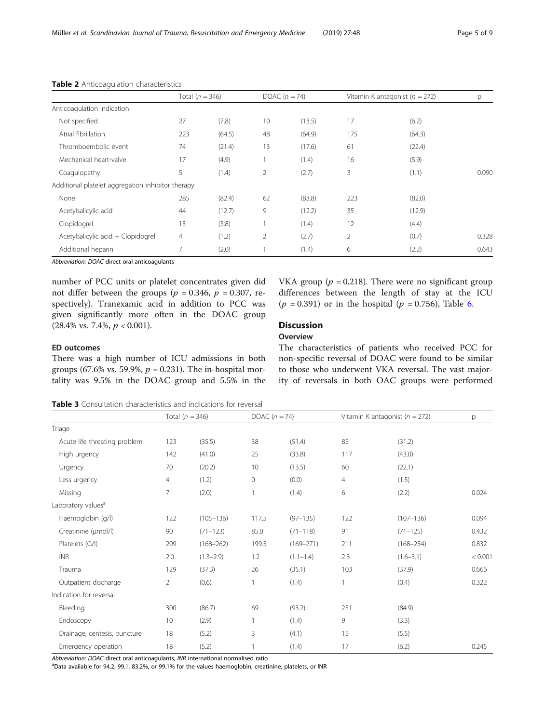|                                                   | Total ( $n = 346$ ) |        | DOAC $(n = 74)$ |        | Vitamin K antagonist ( $n = 272$ ) |        | p     |
|---------------------------------------------------|---------------------|--------|-----------------|--------|------------------------------------|--------|-------|
| Anticoagulation indication                        |                     |        |                 |        |                                    |        |       |
| Not specified                                     | 27                  | (7.8)  | 10              | (13.5) | 17                                 | (6.2)  |       |
| Atrial fibrillation                               | 223                 | (64.5) | 48              | (64.9) | 175                                | (64.3) |       |
| Thromboembolic event                              | 74                  | (21.4) | 13              | (17.6) | 61                                 | (22.4) |       |
| Mechanical heart-valve                            | 17                  | (4.9)  |                 | (1.4)  | 16                                 | (5.9)  |       |
| Coagulopathy                                      | 5                   | (1.4)  | $\overline{2}$  | (2.7)  | 3                                  | (1.1)  | 0.090 |
| Additional platelet aggregation inhibitor therapy |                     |        |                 |        |                                    |        |       |
| None                                              | 285                 | (82.4) | 62              | (83.8) | 223                                | (82.0) |       |
| Acetylsalicylic acid                              | 44                  | (12.7) | 9               | (12.2) | 35                                 | (12.9) |       |
| Clopidogrel                                       | 13                  | (3.8)  |                 | (1.4)  | 12                                 | (4.4)  |       |
| Acetylsalicylic acid + Clopidogrel                | $\overline{4}$      | (1.2)  | $\overline{2}$  | (2.7)  | $\overline{2}$                     | (0.7)  | 0.328 |
| Additional heparin                                | $\overline{7}$      | (2.0)  |                 | (1.4)  | 6                                  | (2.2)  | 0.643 |

#### <span id="page-4-0"></span>Table 2 Anticoagulation characteristics

Abbreviation: DOAC direct oral anticoagulants

number of PCC units or platelet concentrates given did not differ between the groups ( $p = 0.346$ ,  $p = 0.307$ , respectively). Tranexamic acid in addition to PCC was given significantly more often in the DOAC group  $(28.4\% \text{ vs. } 7.4\%, p < 0.001).$ 

# differences between the length of stay at the ICU  $(p = 0.391)$  or in the hospital  $(p = 0.756)$ , Table [6.](#page-6-0)

# **Discussion**

# Overview

# ED outcomes

There was a high number of ICU admissions in both groups (67.6% vs. 59.9%,  $p = 0.231$ ). The in-hospital mortality was 9.5% in the DOAC group and 5.5% in the The characteristics of patients who received PCC for non-specific reversal of DOAC were found to be similar to those who underwent VKA reversal. The vast majority of reversals in both OAC groups were performed

VKA group ( $p = 0.218$ ). There were no significant group

Table 3 Consultation characteristics and indications for reversal

|                                | Total ( $n = 346$ ) |               | DOAC $(n = 74)$ |               | Vitamin K antagonist ( $n = 272$ ) |               | p       |
|--------------------------------|---------------------|---------------|-----------------|---------------|------------------------------------|---------------|---------|
| Triage                         |                     |               |                 |               |                                    |               |         |
| Acute life threating problem   | 123                 | (35.5)        | 38              | (51.4)        | 85                                 | (31.2)        |         |
| High urgency                   | 142                 | (41.0)        | 25              | (33.8)        | 117                                | (43.0)        |         |
| Urgency                        | 70                  | (20.2)        | 10              | (13.5)        | 60                                 | (22.1)        |         |
| Less urgency                   | $\overline{4}$      | (1.2)         | $\circ$         | (0.0)         | $\overline{4}$                     | (1.5)         |         |
| Missing                        | $\overline{7}$      | (2.0)         |                 | (1.4)         | 6                                  | (2.2)         | 0.024   |
| Laboratory values <sup>a</sup> |                     |               |                 |               |                                    |               |         |
| Haemoglobin (g/l)              | 122                 | $(105 - 136)$ | 117.5           | $(97 - 135)$  | 122                                | $(107 - 136)$ | 0.094   |
| Creatinine (µmol/l)            | 90                  | $(71 - 123)$  | 85.0            | $(71 - 118)$  | 91                                 | $(71 - 125)$  | 0.432   |
| Platelets (G/I)                | 209                 | $(168 - 262)$ | 199.5           | $(169 - 271)$ | 211                                | $(168 - 254)$ | 0.832   |
| <b>INR</b>                     | 2.0                 | $(1.3 - 2.9)$ | 1.2             | $(1.1 - 1.4)$ | 2.3                                | $(1.6 - 3.1)$ | < 0.001 |
| Trauma                         | 129                 | (37.3)        | 26              | (35.1)        | 103                                | (37.9)        | 0.666   |
| Outpatient discharge           | $\overline{2}$      | (0.6)         |                 | (1.4)         | $\mathbf{1}$                       | (0.4)         | 0.322   |
| Indication for reversal        |                     |               |                 |               |                                    |               |         |
| Bleeding                       | 300                 | (86.7)        | 69              | (93.2)        | 231                                | (84.9)        |         |
| Endoscopy                      | 10                  | (2.9)         |                 | (1.4)         | 9                                  | (3.3)         |         |
| Drainage, centesis, puncture   | 18                  | (5.2)         | 3               | (4.1)         | 15                                 | (5.5)         |         |
| Emergency operation            | 18                  | (5.2)         |                 | (1.4)         | 17                                 | (6.2)         | 0.245   |

Abbreviation: DOAC direct oral anticoagulants, INR international normalised ratio <sup>a</sup>

<sup>a</sup>Data available for 94.2, 99.1, 83.2%, or 99.1% for the values haemoglobin, creatinine, platelets, or INR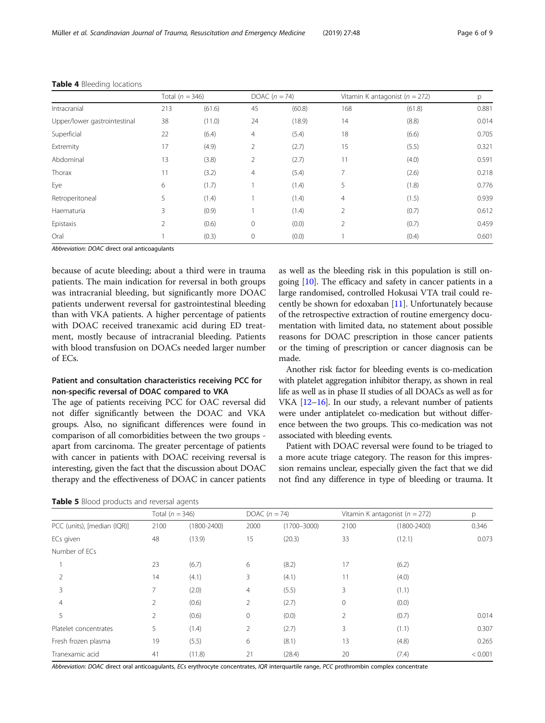| Intracranial                 | Total $(n = 346)$ |        | DOAC $(n = 74)$ |        | Vitamin K antagonist ( $n = 272$ ) |        | р     |
|------------------------------|-------------------|--------|-----------------|--------|------------------------------------|--------|-------|
|                              | 213               | (61.6) | 45              | (60.8) | 168                                | (61.8) | 0.881 |
| Upper/lower gastrointestinal | 38                | (11.0) | 24              | (18.9) | 14                                 | (8.8)  | 0.014 |
| Superficial                  | 22                | (6.4)  | 4               | (5.4)  | 18                                 | (6.6)  | 0.705 |
| Extremity                    | 17                | (4.9)  | $\overline{2}$  | (2.7)  | 15                                 | (5.5)  | 0.321 |
| Abdominal                    | 13                | (3.8)  | 2               | (2.7)  | 11                                 | (4.0)  | 0.591 |
| Thorax                       | 11                | (3.2)  | 4               | (5.4)  | 7                                  | (2.6)  | 0.218 |
| Eye                          | 6                 | (1.7)  |                 | (1.4)  | 5                                  | (1.8)  | 0.776 |
| Retroperitoneal              | 5                 | (1.4)  |                 | (1.4)  | $\overline{4}$                     | (1.5)  | 0.939 |
| Haematuria                   | 3                 | (0.9)  |                 | (1.4)  | 2                                  | (0.7)  | 0.612 |
| Epistaxis                    | 2                 | (0.6)  | $\mathbf 0$     | (0.0)  | $\overline{2}$                     | (0.7)  | 0.459 |
| Oral                         |                   | (0.3)  | 0               | (0.0)  |                                    | (0.4)  | 0.601 |

<span id="page-5-0"></span>

|  | Table 4 Bleeding locations |  |
|--|----------------------------|--|
|  |                            |  |

Abbreviation: DOAC direct oral anticoagulants

because of acute bleeding; about a third were in trauma patients. The main indication for reversal in both groups was intracranial bleeding, but significantly more DOAC patients underwent reversal for gastrointestinal bleeding than with VKA patients. A higher percentage of patients with DOAC received tranexamic acid during ED treatment, mostly because of intracranial bleeding. Patients with blood transfusion on DOACs needed larger number of ECs.

# Patient and consultation characteristics receiving PCC for non-specific reversal of DOAC compared to VKA

The age of patients receiving PCC for OAC reversal did not differ significantly between the DOAC and VKA groups. Also, no significant differences were found in comparison of all comorbidities between the two groups apart from carcinoma. The greater percentage of patients with cancer in patients with DOAC receiving reversal is interesting, given the fact that the discussion about DOAC therapy and the effectiveness of DOAC in cancer patients as well as the bleeding risk in this population is still ongoing [\[10\]](#page-8-0). The efficacy and safety in cancer patients in a large randomised, controlled Hokusai VTA trail could recently be shown for edoxaban [[11](#page-8-0)]. Unfortunately because of the retrospective extraction of routine emergency documentation with limited data, no statement about possible reasons for DOAC prescription in those cancer patients or the timing of prescription or cancer diagnosis can be made.

Another risk factor for bleeding events is co-medication with platelet aggregation inhibitor therapy, as shown in real life as well as in phase II studies of all DOACs as well as for VKA [\[12](#page-8-0)–[16\]](#page-8-0). In our study, a relevant number of patients were under antiplatelet co-medication but without difference between the two groups. This co-medication was not associated with bleeding events.

Patient with DOAC reversal were found to be triaged to a more acute triage category. The reason for this impression remains unclear, especially given the fact that we did not find any difference in type of bleeding or trauma. It

Table 5 Blood products and reversal agents

| PCC (units), [median (IQR)] | Total ( $n = 346$ ) |                 |                | DOAC $(n = 74)$ |                | Vitamin K antagonist ( $n = 272$ ) |         |
|-----------------------------|---------------------|-----------------|----------------|-----------------|----------------|------------------------------------|---------|
|                             | 2100                | $(1800 - 2400)$ | 2000           | $(1700 - 3000)$ | 2100           | $(1800 - 2400)$                    | 0.346   |
| ECs given                   | 48                  | (13.9)          | 15             | (20.3)          | 33             | (12.1)                             | 0.073   |
| Number of ECs               |                     |                 |                |                 |                |                                    |         |
|                             | 23                  | (6.7)           | 6              | (8.2)           | 17             | (6.2)                              |         |
|                             | 14                  | (4.1)           | 3              | (4.1)           | 11             | (4.0)                              |         |
| 3                           |                     | (2.0)           | $\overline{4}$ | (5.5)           | 3              | (1.1)                              |         |
| $\overline{4}$              | $\overline{2}$      | (0.6)           | $\overline{2}$ | (2.7)           | 0              | (0.0)                              |         |
| 5                           | 2                   | (0.6)           | $\overline{0}$ | (0.0)           | $\overline{2}$ | (0.7)                              | 0.014   |
| Platelet concentrates       | 5                   | (1.4)           | 2              | (2.7)           | 3              | (1.1)                              | 0.307   |
| Fresh frozen plasma         | 19                  | (5.5)           | 6              | (8.1)           | 13             | (4.8)                              | 0.265   |
| Tranexamic acid             | 41                  | (11.8)          | 21             | (28.4)          | 20             | (7.4)                              | < 0.001 |

Abbreviation: DOAC direct oral anticoagulants, ECs erythrocyte concentrates, IQR interquartile range, PCC prothrombin complex concentrate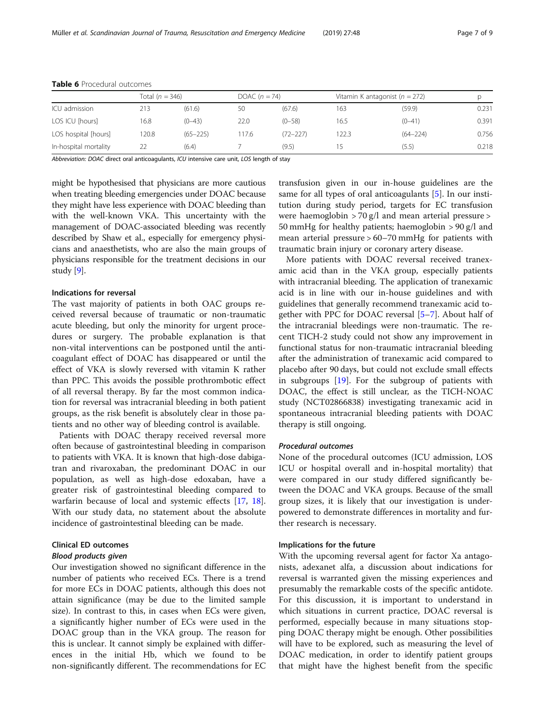|                       |      | Total $(n = 346)$ |       | DOAC $(n = 74)$ |      | Vitamin K antagonist ( $n = 272$ ) |       |
|-----------------------|------|-------------------|-------|-----------------|------|------------------------------------|-------|
| ICU admission         | 213  | (61.6)            | 50    | (67.6)          | 163  | (59.9)                             | 0.231 |
| LOS ICU [hours]       | 16.8 | $(0-43)$          | 22.0  | $(0 - 58)$      | 16.5 | $(0 - 41)$                         | 0.391 |
| LOS hospital [hours]  | 20.8 | $(65 - 225)$      | 117.6 | $(72 - 227)$    | 22.3 | $(64 - 224)$                       | 0.756 |
| In-hospital mortality |      | (6.4)             |       | (9.5)           |      | (5.5)                              | 0.218 |

<span id="page-6-0"></span>Table 6 Procedural outcomes

Abbreviation: DOAC direct oral anticoagulants, ICU intensive care unit, LOS length of stay

might be hypothesised that physicians are more cautious when treating bleeding emergencies under DOAC because they might have less experience with DOAC bleeding than with the well-known VKA. This uncertainty with the management of DOAC-associated bleeding was recently described by Shaw et al., especially for emergency physicians and anaesthetists, who are also the main groups of physicians responsible for the treatment decisions in our study [[9\]](#page-8-0).

#### Indications for reversal

The vast majority of patients in both OAC groups received reversal because of traumatic or non-traumatic acute bleeding, but only the minority for urgent procedures or surgery. The probable explanation is that non-vital interventions can be postponed until the anticoagulant effect of DOAC has disappeared or until the effect of VKA is slowly reversed with vitamin K rather than PPC. This avoids the possible prothrombotic effect of all reversal therapy. By far the most common indication for reversal was intracranial bleeding in both patient groups, as the risk benefit is absolutely clear in those patients and no other way of bleeding control is available.

Patients with DOAC therapy received reversal more often because of gastrointestinal bleeding in comparison to patients with VKA. It is known that high-dose dabigatran and rivaroxaban, the predominant DOAC in our population, as well as high-dose edoxaban, have a greater risk of gastrointestinal bleeding compared to warfarin because of local and systemic effects [\[17,](#page-8-0) [18](#page-8-0)]. With our study data, no statement about the absolute incidence of gastrointestinal bleeding can be made.

# Clinical ED outcomes Blood products given

Our investigation showed no significant difference in the number of patients who received ECs. There is a trend for more ECs in DOAC patients, although this does not attain significance (may be due to the limited sample size). In contrast to this, in cases when ECs were given, a significantly higher number of ECs were used in the DOAC group than in the VKA group. The reason for this is unclear. It cannot simply be explained with differences in the initial Hb, which we found to be non-significantly different. The recommendations for EC transfusion given in our in-house guidelines are the same for all types of oral anticoagulants [\[5](#page-8-0)]. In our institution during study period, targets for EC transfusion were haemoglobin  $> 70$  g/l and mean arterial pressure  $>$ 50 mmHg for healthy patients; haemoglobin > 90 g/l and mean arterial pressure > 60–70 mmHg for patients with traumatic brain injury or coronary artery disease.

More patients with DOAC reversal received tranexamic acid than in the VKA group, especially patients with intracranial bleeding. The application of tranexamic acid is in line with our in-house guidelines and with guidelines that generally recommend tranexamic acid together with PPC for DOAC reversal [\[5](#page-8-0)–[7](#page-8-0)]. About half of the intracranial bleedings were non-traumatic. The recent TICH-2 study could not show any improvement in functional status for non-traumatic intracranial bleeding after the administration of tranexamic acid compared to placebo after 90 days, but could not exclude small effects in subgroups [[19](#page-8-0)]. For the subgroup of patients with DOAC, the effect is still unclear, as the TICH-NOAC study (NCT02866838) investigating tranexamic acid in spontaneous intracranial bleeding patients with DOAC therapy is still ongoing.

#### Procedural outcomes

None of the procedural outcomes (ICU admission, LOS ICU or hospital overall and in-hospital mortality) that were compared in our study differed significantly between the DOAC and VKA groups. Because of the small group sizes, it is likely that our investigation is underpowered to demonstrate differences in mortality and further research is necessary.

#### Implications for the future

With the upcoming reversal agent for factor Xa antagonists, adexanet alfa, a discussion about indications for reversal is warranted given the missing experiences and presumably the remarkable costs of the specific antidote. For this discussion, it is important to understand in which situations in current practice, DOAC reversal is performed, especially because in many situations stopping DOAC therapy might be enough. Other possibilities will have to be explored, such as measuring the level of DOAC medication, in order to identify patient groups that might have the highest benefit from the specific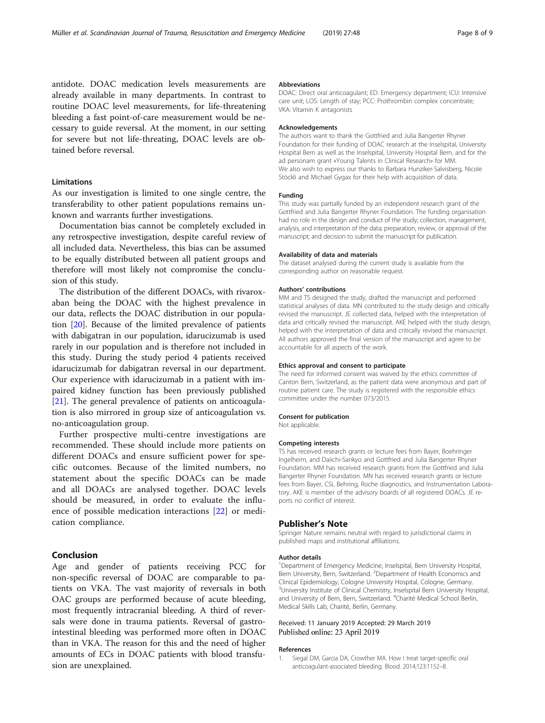<span id="page-7-0"></span>antidote. DOAC medication levels measurements are already available in many departments. In contrast to routine DOAC level measurements, for life-threatening bleeding a fast point-of-care measurement would be necessary to guide reversal. At the moment, in our setting for severe but not life-threating, DOAC levels are obtained before reversal.

#### Limitations

As our investigation is limited to one single centre, the transferability to other patient populations remains unknown and warrants further investigations.

Documentation bias cannot be completely excluded in any retrospective investigation, despite careful review of all included data. Nevertheless, this bias can be assumed to be equally distributed between all patient groups and therefore will most likely not compromise the conclusion of this study.

The distribution of the different DOACs, with rivaroxaban being the DOAC with the highest prevalence in our data, reflects the DOAC distribution in our population [\[20](#page-8-0)]. Because of the limited prevalence of patients with dabigatran in our population, idarucizumab is used rarely in our population and is therefore not included in this study. During the study period 4 patients received idarucizumab for dabigatran reversal in our department. Our experience with idarucizumab in a patient with impaired kidney function has been previously published [[21\]](#page-8-0). The general prevalence of patients on anticoagulation is also mirrored in group size of anticoagulation vs. no-anticoagulation group.

Further prospective multi-centre investigations are recommended. These should include more patients on different DOACs and ensure sufficient power for specific outcomes. Because of the limited numbers, no statement about the specific DOACs can be made and all DOACs are analysed together. DOAC levels should be measured, in order to evaluate the influence of possible medication interactions [[22\]](#page-8-0) or medication compliance.

#### Conclusion

Age and gender of patients receiving PCC for non-specific reversal of DOAC are comparable to patients on VKA. The vast majority of reversals in both OAC groups are performed because of acute bleeding, most frequently intracranial bleeding. A third of reversals were done in trauma patients. Reversal of gastrointestinal bleeding was performed more often in DOAC than in VKA. The reason for this and the need of higher amounts of ECs in DOAC patients with blood transfusion are unexplained.

#### Abbreviations

DOAC: Direct oral anticoagulant; ED: Emergency department; ICU: Intensive care unit; LOS: Length of stay; PCC: Prothrombin complex concentrate; VKA: Vitamin K antagonists

#### Acknowledgements

The authors want to thank the Gottfried and Julia Bangerter Rhyner Foundation for their funding of DOAC research at the Inselspital, University Hospital Bern as well as the Inselspital, University Hospital Bern, and for the ad personam grant «Young Talents in Clinical Research» for MM. We also wish to express our thanks to Barbara Hunziker-Salvisberg, Nicole Stöckli and Michael Gygax for their help with acquisition of data.

#### Funding

This study was partially funded by an independent research grant of the Gottfried and Julia Bangerter Rhyner Foundation. The funding organisation had no role in the design and conduct of the study; collection, management, analysis, and interpretation of the data; preparation, review, or approval of the manuscript; and decision to submit the manuscript for publication.

#### Availability of data and materials

The dataset analysed during the current study is available from the corresponding author on reasonable request.

#### Authors' contributions

MM and TS designed the study, drafted the manuscript and performed statistical analyses of data. MN contributed to the study design and critically revised the manuscript. JE collected data, helped with the interpretation of data and critically revised the manuscript. AKE helped with the study design, helped with the interpretation of data and critically revised the manuscript. All authors approved the final version of the manuscript and agree to be accountable for all aspects of the work.

#### Ethics approval and consent to participate

The need for informed consent was waived by the ethics committee of Canton Bern, Switzerland, as the patient data were anonymous and part of routine patient care. The study is registered with the responsible ethics committee under the number 073/2015.

#### Consent for publication

Not applicable.

#### Competing interests

TS has received research grants or lecture fees from Bayer, Boehringer Ingelheim, and Daiichi-Sankyo and Gottfried and Julia Bangerter Rhyner Foundation. MM has received research grants from the Gottfried and Julia Bangerter Rhyner Foundation. MN has received research grants or lecture fees from Bayer, CSL Behring, Roche diagnostics, and Instrumentation Laboratory. AKE is member of the advisory boards of all registered DOACs. JE reports no conflict of interest.

#### Publisher's Note

Springer Nature remains neutral with regard to jurisdictional claims in published maps and institutional affiliations.

#### Author details

<sup>1</sup>Department of Emergency Medicine, Inselspital, Bern University Hospital Bern University, Bern, Switzerland. <sup>2</sup>Department of Health Economics and Clinical Epidemiology, Cologne University Hospital, Cologne, Germany. <sup>3</sup>University Institute of Clinical Chemistry, Inselspital Bern University Hospital and University of Bern, Bern, Switzerland. <sup>4</sup>Charité Medical School Berlin Medical Skills Lab, Charité, Berlin, Germany.

#### Received: 11 January 2019 Accepted: 29 March 2019 Published online: 23 April 2019

#### References

1. Siegal DM, Garcia DA, Crowther MA. How I treat target-specific oral anticoagulant-associated bleeding. Blood. 2014;123:1152–8.